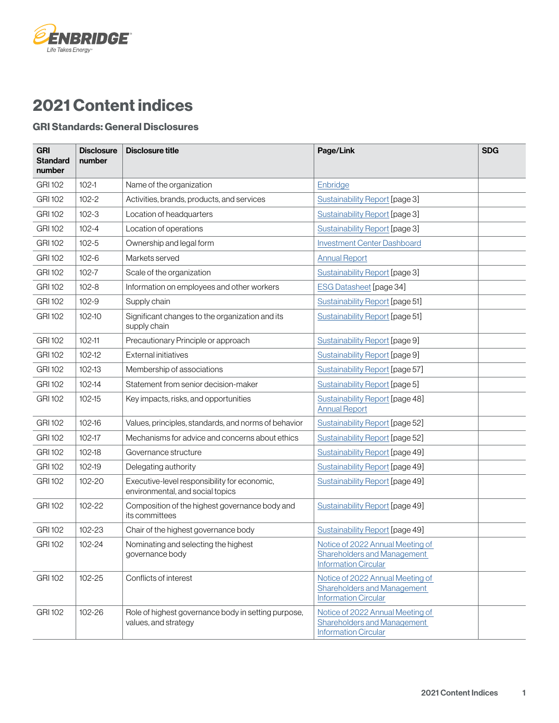## 2021 Content indices

**ÉNBRIDGE®** 

Life Takes Energy®

## GRI Standards: General Disclosures

| <b>GRI</b><br><b>Standard</b><br>number | <b>Disclosure</b><br>number | <b>Disclosure title</b>                                                          | Page/Link                                                                                             | <b>SDG</b> |
|-----------------------------------------|-----------------------------|----------------------------------------------------------------------------------|-------------------------------------------------------------------------------------------------------|------------|
| <b>GRI 102</b>                          | $102 - 1$                   | Name of the organization                                                         | Enbridge                                                                                              |            |
| <b>GRI 102</b>                          | $102 - 2$                   | Activities, brands, products, and services                                       | Sustainability Report [page 3]                                                                        |            |
| <b>GRI 102</b>                          | $102 - 3$                   | Location of headquarters                                                         | Sustainability Report [page 3]                                                                        |            |
| <b>GRI 102</b>                          | $102 - 4$                   | Location of operations                                                           | Sustainability Report [page 3]                                                                        |            |
| <b>GRI 102</b>                          | $102 - 5$                   | Ownership and legal form                                                         | <b>Investment Center Dashboard</b>                                                                    |            |
| <b>GRI 102</b>                          | $102 - 6$                   | Markets served                                                                   | <b>Annual Report</b>                                                                                  |            |
| <b>GRI 102</b>                          | $102 - 7$                   | Scale of the organization                                                        | <b>Sustainability Report [page 3]</b>                                                                 |            |
| <b>GRI 102</b>                          | $102 - 8$                   | Information on employees and other workers                                       | <b>ESG Datasheet [page 34]</b>                                                                        |            |
| <b>GRI 102</b>                          | $102 - 9$                   | Supply chain                                                                     | Sustainability Report [page 51]                                                                       |            |
| <b>GRI 102</b>                          | $102 - 10$                  | Significant changes to the organization and its<br>supply chain                  | Sustainability Report [page 51]                                                                       |            |
| <b>GRI 102</b>                          | $102 - 11$                  | Precautionary Principle or approach                                              | Sustainability Report [page 9]                                                                        |            |
| <b>GRI 102</b>                          | $102 - 12$                  | <b>External initiatives</b>                                                      | Sustainability Report [page 9]                                                                        |            |
| <b>GRI 102</b>                          | 102-13                      | Membership of associations                                                       | Sustainability Report [page 57]                                                                       |            |
| <b>GRI 102</b>                          | $102 - 14$                  | Statement from senior decision-maker                                             | Sustainability Report [page 5]                                                                        |            |
| <b>GRI 102</b>                          | $102 - 15$                  | Key impacts, risks, and opportunities                                            | Sustainability Report [page 48]<br><b>Annual Report</b>                                               |            |
| <b>GRI 102</b>                          | 102-16                      | Values, principles, standards, and norms of behavior                             | Sustainability Report [page 52]                                                                       |            |
| <b>GRI 102</b>                          | 102-17                      | Mechanisms for advice and concerns about ethics                                  | Sustainability Report [page 52]                                                                       |            |
| <b>GRI 102</b>                          | $102 - 18$                  | Governance structure                                                             | Sustainability Report [page 49]                                                                       |            |
| <b>GRI 102</b>                          | 102-19                      | Delegating authority                                                             | Sustainability Report [page 49]                                                                       |            |
| <b>GRI 102</b>                          | 102-20                      | Executive-level responsibility for economic,<br>environmental, and social topics | Sustainability Report [page 49]                                                                       |            |
| <b>GRI 102</b>                          | 102-22                      | Composition of the highest governance body and<br>its committees                 | <b>Sustainability Report [page 49]</b>                                                                |            |
| <b>GRI 102</b>                          | 102-23                      | Chair of the highest governance body                                             | <b>Sustainability Report [page 49]</b>                                                                |            |
| <b>GRI 102</b>                          | 102-24                      | Nominating and selecting the highest<br>governance body                          | Notice of 2022 Annual Meeting of<br><b>Shareholders and Management</b><br><b>Information Circular</b> |            |
| <b>GRI 102</b>                          | $102 - 25$                  | Conflicts of interest                                                            | Notice of 2022 Annual Meeting of<br><b>Shareholders and Management</b><br><b>Information Circular</b> |            |
| <b>GRI 102</b>                          | 102-26                      | Role of highest governance body in setting purpose,<br>values, and strategy      | Notice of 2022 Annual Meeting of<br><b>Shareholders and Management</b><br><b>Information Circular</b> |            |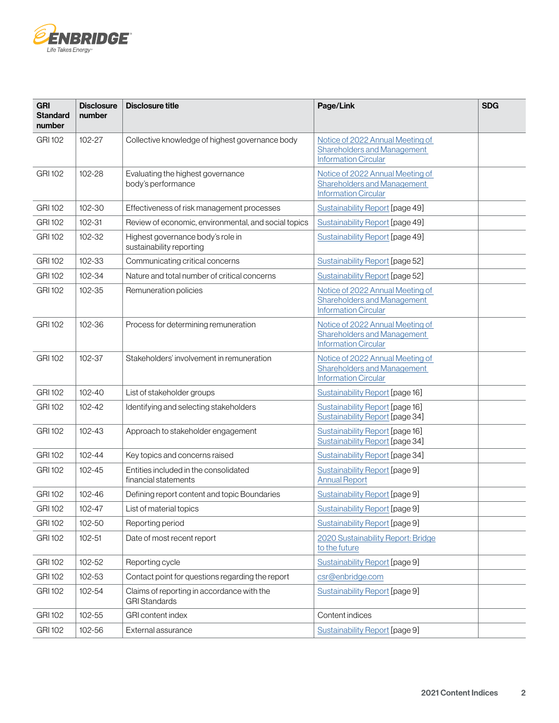

| <b>GRI</b><br><b>Standard</b><br>number | <b>Disclosure</b><br>number | <b>Disclosure title</b>                                            | Page/Link                                                                                             | <b>SDG</b> |
|-----------------------------------------|-----------------------------|--------------------------------------------------------------------|-------------------------------------------------------------------------------------------------------|------------|
| <b>GRI 102</b>                          | 102-27                      | Collective knowledge of highest governance body                    | Notice of 2022 Annual Meeting of<br><b>Shareholders and Management</b><br><b>Information Circular</b> |            |
| <b>GRI 102</b>                          | 102-28                      | Evaluating the highest governance<br>body's performance            | Notice of 2022 Annual Meeting of<br><b>Shareholders and Management</b><br><b>Information Circular</b> |            |
| <b>GRI 102</b>                          | 102-30                      | Effectiveness of risk management processes                         | Sustainability Report [page 49]                                                                       |            |
| <b>GRI 102</b>                          | 102-31                      | Review of economic, environmental, and social topics               | Sustainability Report [page 49]                                                                       |            |
| <b>GRI 102</b>                          | 102-32                      | Highest governance body's role in<br>sustainability reporting      | Sustainability Report [page 49]                                                                       |            |
| <b>GRI 102</b>                          | 102-33                      | Communicating critical concerns                                    | Sustainability Report [page 52]                                                                       |            |
| <b>GRI 102</b>                          | 102-34                      | Nature and total number of critical concerns                       | <b>Sustainability Report [page 52]</b>                                                                |            |
| <b>GRI 102</b>                          | 102-35                      | Remuneration policies                                              | Notice of 2022 Annual Meeting of<br>Shareholders and Management<br><b>Information Circular</b>        |            |
| <b>GRI 102</b>                          | 102-36                      | Process for determining remuneration                               | Notice of 2022 Annual Meeting of<br><b>Shareholders and Management</b><br><b>Information Circular</b> |            |
| <b>GRI 102</b>                          | 102-37                      | Stakeholders' involvement in remuneration                          | Notice of 2022 Annual Meeting of<br>Shareholders and Management<br><b>Information Circular</b>        |            |
| <b>GRI 102</b>                          | $102 - 40$                  | List of stakeholder groups                                         | <b>Sustainability Report [page 16]</b>                                                                |            |
| <b>GRI 102</b>                          | $102 - 42$                  | Identifying and selecting stakeholders                             | Sustainability Report [page 16]<br>Sustainability Report [page 34]                                    |            |
| <b>GRI 102</b>                          | $102 - 43$                  | Approach to stakeholder engagement                                 | Sustainability Report [page 16]<br>Sustainability Report [page 34]                                    |            |
| <b>GRI 102</b>                          | $102 - 44$                  | Key topics and concerns raised                                     | Sustainability Report [page 34]                                                                       |            |
| <b>GRI 102</b>                          | $102 - 45$                  | Entities included in the consolidated<br>financial statements      | Sustainability Report [page 9]<br><b>Annual Report</b>                                                |            |
| <b>GRI 102</b>                          | 102-46                      | Defining report content and topic Boundaries                       | Sustainability Report [page 9]                                                                        |            |
| <b>GRI 102</b>                          | 102-47                      | List of material topics                                            | Sustainability Report [page 9]                                                                        |            |
| <b>GRI 102</b>                          | 102-50                      | Reporting period                                                   | Sustainability Report [page 9]                                                                        |            |
| <b>GRI 102</b>                          | $102 - 51$                  | Date of most recent report                                         | 2020 Sustainability Report: Bridge<br>to the future                                                   |            |
| <b>GRI 102</b>                          | 102-52                      | Reporting cycle                                                    | Sustainability Report [page 9]                                                                        |            |
| <b>GRI 102</b>                          | 102-53                      | Contact point for questions regarding the report                   | csr@enbridge.com                                                                                      |            |
| <b>GRI 102</b>                          | 102-54                      | Claims of reporting in accordance with the<br><b>GRI Standards</b> | Sustainability Report [page 9]                                                                        |            |
| <b>GRI 102</b>                          | 102-55                      | GRI content index                                                  | Content indices                                                                                       |            |
| <b>GRI 102</b>                          | 102-56                      | External assurance                                                 | Sustainability Report [page 9]                                                                        |            |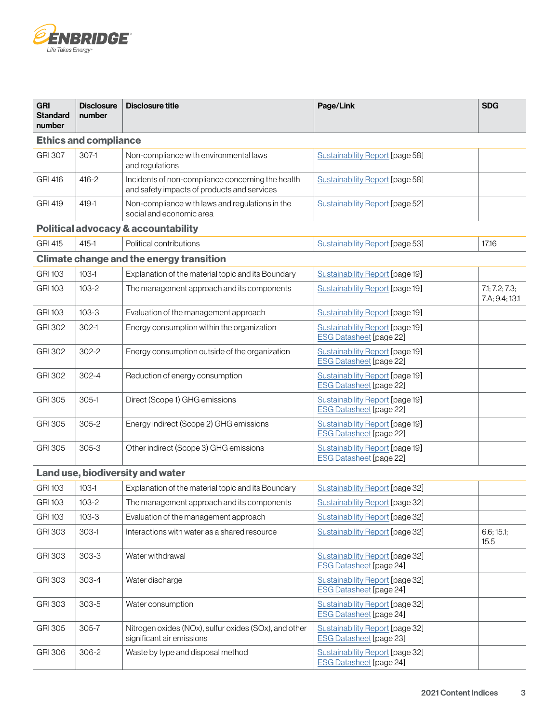

| <b>GRI</b><br><b>Standard</b><br>number | <b>Disclosure</b><br>number  | <b>Disclosure title</b>                                                                          | Page/Link                                                                | <b>SDG</b>                       |
|-----------------------------------------|------------------------------|--------------------------------------------------------------------------------------------------|--------------------------------------------------------------------------|----------------------------------|
|                                         | <b>Ethics and compliance</b> |                                                                                                  |                                                                          |                                  |
| <b>GRI 307</b>                          | $307-1$                      | Non-compliance with environmental laws<br>and regulations                                        | <b>Sustainability Report [page 58]</b>                                   |                                  |
| <b>GRI 416</b>                          | $416 - 2$                    | Incidents of non-compliance concerning the health<br>and safety impacts of products and services | <b>Sustainability Report [page 58]</b>                                   |                                  |
| <b>GRI 419</b>                          | $419 - 1$                    | Non-compliance with laws and regulations in the<br>social and economic area                      | Sustainability Report [page 52]                                          |                                  |
|                                         |                              | <b>Political advocacy &amp; accountability</b>                                                   |                                                                          |                                  |
| <b>GRI 415</b>                          | $415 - 1$                    | Political contributions                                                                          | <b>Sustainability Report [page 53]</b>                                   | 17.16                            |
|                                         |                              | <b>Climate change and the energy transition</b>                                                  |                                                                          |                                  |
| <b>GRI 103</b>                          | $103-1$                      | Explanation of the material topic and its Boundary                                               | Sustainability Report [page 19]                                          |                                  |
| <b>GRI 103</b>                          | $103 - 2$                    | The management approach and its components                                                       | Sustainability Report [page 19]                                          | 7.1; 7.2; 7.3;<br>7.A; 9.4; 13.1 |
| <b>GRI 103</b>                          | $103 - 3$                    | Evaluation of the management approach                                                            | Sustainability Report [page 19]                                          |                                  |
| <b>GRI 302</b>                          | $302-1$                      | Energy consumption within the organization                                                       | Sustainability Report [page 19]<br><b>ESG Datasheet [page 22]</b>        |                                  |
| <b>GRI 302</b>                          | $302 - 2$                    | Energy consumption outside of the organization                                                   | Sustainability Report [page 19]<br><b>ESG Datasheet [page 22]</b>        |                                  |
| <b>GRI 302</b>                          | $302 - 4$                    | Reduction of energy consumption                                                                  | <b>Sustainability Report [page 19]</b><br><b>ESG Datasheet [page 22]</b> |                                  |
| GRI 305                                 | $305-1$                      | Direct (Scope 1) GHG emissions                                                                   | Sustainability Report [page 19]<br><b>ESG Datasheet [page 22]</b>        |                                  |
| <b>GRI 305</b>                          | $305 - 2$                    | Energy indirect (Scope 2) GHG emissions                                                          | <b>Sustainability Report [page 19]</b><br><b>ESG Datasheet [page 22]</b> |                                  |
| <b>GRI 305</b>                          | $305 - 3$                    | Other indirect (Scope 3) GHG emissions                                                           | <b>Sustainability Report [page 19]</b><br><b>ESG Datasheet [page 22]</b> |                                  |
| Land use, biodiversity and water        |                              |                                                                                                  |                                                                          |                                  |
| <b>GRI 103</b>                          | $103-1$                      | Explanation of the material topic and its Boundary                                               | Sustainability Report [page 32]                                          |                                  |
| <b>GRI 103</b>                          | $103 - 2$                    | The management approach and its components                                                       | Sustainability Report [page 32]                                          |                                  |
| <b>GRI 103</b>                          | $103 - 3$                    | Evaluation of the management approach                                                            | Sustainability Report [page 32]                                          |                                  |
| <b>GRI 303</b>                          | $303-1$                      | Interactions with water as a shared resource                                                     | Sustainability Report [page 32]                                          | 6.6; 15.1;<br>15.5               |
| <b>GRI 303</b>                          | $303 - 3$                    | Water withdrawal                                                                                 | <b>Sustainability Report [page 32]</b><br><b>ESG Datasheet [page 24]</b> |                                  |
| <b>GRI 303</b>                          | $303 - 4$                    | Water discharge                                                                                  | Sustainability Report [page 32]<br><b>ESG Datasheet [page 24]</b>        |                                  |
| <b>GRI 303</b>                          | $303 - 5$                    | Water consumption                                                                                | Sustainability Report [page 32]<br><b>ESG Datasheet [page 24]</b>        |                                  |
| <b>GRI 305</b>                          | 305-7                        | Nitrogen oxides (NOx), sulfur oxides (SOx), and other<br>significant air emissions               | Sustainability Report [page 32]<br><b>ESG Datasheet [page 23]</b>        |                                  |
| <b>GRI 306</b>                          | 306-2                        | Waste by type and disposal method                                                                | <b>Sustainability Report [page 32]</b><br><b>ESG Datasheet [page 24]</b> |                                  |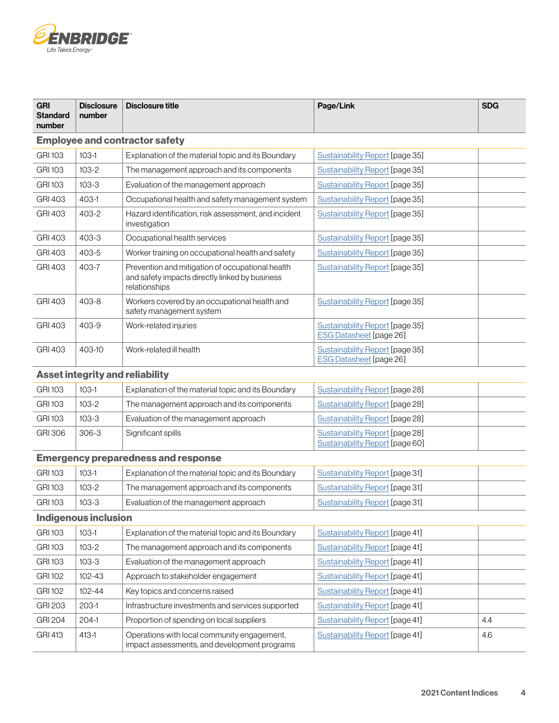

| <b>GRI</b><br><b>Standard</b><br>number | <b>Disclosure</b><br>number | <b>Disclosure title</b>                                                                                             | Page/Link                                                          | <b>SDG</b> |  |
|-----------------------------------------|-----------------------------|---------------------------------------------------------------------------------------------------------------------|--------------------------------------------------------------------|------------|--|
|                                         |                             | <b>Employee and contractor safety</b>                                                                               |                                                                    |            |  |
| <b>GRI 103</b>                          | $103-1$                     | Explanation of the material topic and its Boundary                                                                  | Sustainability Report [page 35]                                    |            |  |
| <b>GRI 103</b>                          | $103 - 2$                   | The management approach and its components                                                                          | Sustainability Report [page 35]                                    |            |  |
| <b>GRI 103</b>                          | $103 - 3$                   | Evaluation of the management approach                                                                               | Sustainability Report [page 35]                                    |            |  |
| <b>GRI 403</b>                          | 403-1                       | Occupational health and safety management system                                                                    | Sustainability Report [page 35]                                    |            |  |
| <b>GRI 403</b>                          | 403-2                       | Hazard identification, risk assessment, and incident<br>investigation                                               | Sustainability Report [page 35]                                    |            |  |
| <b>GRI 403</b>                          | 403-3                       | Occupational health services                                                                                        | <b>Sustainability Report [page 35]</b>                             |            |  |
| GRI 403                                 | 403-5                       | Worker training on occupational health and safety                                                                   | <b>Sustainability Report [page 35]</b>                             |            |  |
| <b>GRI 403</b>                          | 403-7                       | Prevention and mitigation of occupational health<br>and safety impacts directly linked by business<br>relationships | Sustainability Report [page 35]                                    |            |  |
| <b>GRI 403</b>                          | 403-8                       | Workers covered by an occupational health and<br>safety management system                                           | Sustainability Report [page 35]                                    |            |  |
| <b>GRI 403</b>                          | 403-9                       | Work-related injuries                                                                                               | Sustainability Report [page 35]<br><b>ESG Datasheet [page 26]</b>  |            |  |
| GRI 403                                 | 403-10                      | Work-related ill health                                                                                             | Sustainability Report [page 35]<br><b>ESG Datasheet [page 26]</b>  |            |  |
|                                         |                             | <b>Asset integrity and reliability</b>                                                                              |                                                                    |            |  |
| <b>GRI 103</b>                          | $103-1$                     | Explanation of the material topic and its Boundary                                                                  | Sustainability Report [page 28]                                    |            |  |
| <b>GRI 103</b>                          | $103 - 2$                   | The management approach and its components                                                                          | Sustainability Report [page 28]                                    |            |  |
| <b>GRI 103</b>                          | $103 - 3$                   | Evaluation of the management approach                                                                               | Sustainability Report [page 28]                                    |            |  |
| <b>GRI 306</b>                          | $306 - 3$                   | Significant spills                                                                                                  | Sustainability Report [page 28]<br>Sustainability Report [page 60] |            |  |
|                                         |                             | <b>Emergency preparedness and response</b>                                                                          |                                                                    |            |  |
| GRI 103                                 | $103-1$                     | Explanation of the material topic and its Boundary                                                                  | Sustainability Report [page 31]                                    |            |  |
| <b>GRI 103</b>                          | $103 - 2$                   | The management approach and its components                                                                          | Sustainability Report [page 31]                                    |            |  |
| <b>GRI 103</b>                          | $103 - 3$                   | Evaluation of the management approach                                                                               | Sustainability Report [page 31]                                    |            |  |
|                                         | <b>Indigenous inclusion</b> |                                                                                                                     |                                                                    |            |  |
| <b>GRI 103</b>                          | $103-1$                     | Explanation of the material topic and its Boundary                                                                  | <b>Sustainability Report [page 41]</b>                             |            |  |
| <b>GRI 103</b>                          | $103 - 2$                   | The management approach and its components                                                                          | Sustainability Report [page 41]                                    |            |  |
| <b>GRI 103</b>                          | $103 - 3$                   | Evaluation of the management approach                                                                               | <b>Sustainability Report [page 41]</b>                             |            |  |
| <b>GRI 102</b>                          | 102-43                      | Approach to stakeholder engagement                                                                                  | Sustainability Report [page 41]                                    |            |  |
| <b>GRI 102</b>                          | 102-44                      | Key topics and concerns raised                                                                                      | Sustainability Report [page 41]                                    |            |  |
| <b>GRI 203</b>                          | $203-1$                     | Infrastructure investments and services supported                                                                   | <b>Sustainability Report [page 41]</b>                             |            |  |
| <b>GRI 204</b>                          | $204-1$                     | Proportion of spending on local suppliers                                                                           | <b>Sustainability Report [page 41]</b>                             | 4.4        |  |
| <b>GRI 413</b>                          | $413 - 1$                   | Operations with local community engagement,<br>impact assessments, and development programs                         | Sustainability Report [page 41]                                    | 4.6        |  |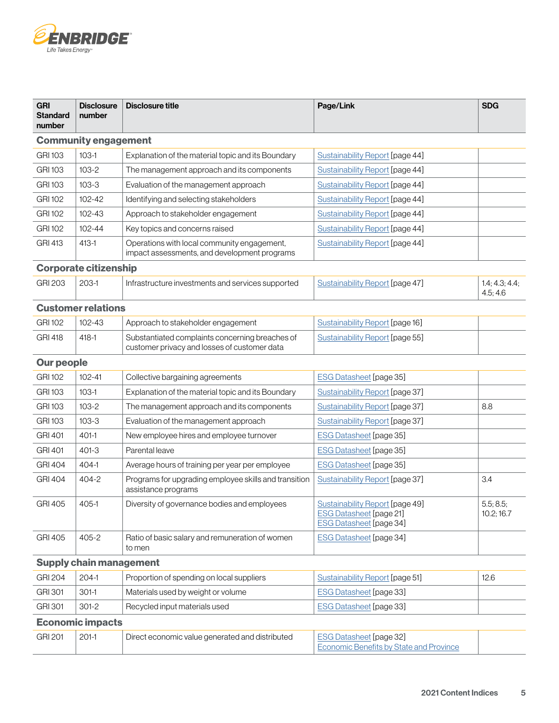

| <b>GRI</b><br><b>Standard</b><br>number | <b>Disclosure</b><br>number  | <b>Disclosure title</b>                                                                         | Page/Link                                                                                           | <b>SDG</b>                 |
|-----------------------------------------|------------------------------|-------------------------------------------------------------------------------------------------|-----------------------------------------------------------------------------------------------------|----------------------------|
|                                         | <b>Community engagement</b>  |                                                                                                 |                                                                                                     |                            |
| <b>GRI 103</b>                          | $103-1$                      | Explanation of the material topic and its Boundary                                              | Sustainability Report [page 44]                                                                     |                            |
| <b>GRI 103</b>                          | $103 - 2$                    | The management approach and its components                                                      | Sustainability Report [page 44]                                                                     |                            |
| <b>GRI 103</b>                          | $103 - 3$                    | Evaluation of the management approach                                                           | Sustainability Report [page 44]                                                                     |                            |
| <b>GRI 102</b>                          | 102-42                       | Identifying and selecting stakeholders                                                          | Sustainability Report [page 44]                                                                     |                            |
| <b>GRI 102</b>                          | 102-43                       | Approach to stakeholder engagement                                                              | Sustainability Report [page 44]                                                                     |                            |
| <b>GRI 102</b>                          | 102-44                       | Key topics and concerns raised                                                                  | Sustainability Report [page 44]                                                                     |                            |
| <b>GRI 413</b>                          | $413 - 1$                    | Operations with local community engagement,<br>impact assessments, and development programs     | <b>Sustainability Report [page 44]</b>                                                              |                            |
|                                         | <b>Corporate citizenship</b> |                                                                                                 |                                                                                                     |                            |
| <b>GRI 203</b>                          | 203-1                        | Infrastructure investments and services supported                                               | <b>Sustainability Report [page 47]</b>                                                              | 1.4; 4.3; 4.4;<br>4.5; 4.6 |
|                                         | <b>Customer relations</b>    |                                                                                                 |                                                                                                     |                            |
| <b>GRI 102</b>                          | 102-43                       | Approach to stakeholder engagement                                                              | Sustainability Report [page 16]                                                                     |                            |
| <b>GRI 418</b>                          | $418 - 1$                    | Substantiated complaints concerning breaches of<br>customer privacy and losses of customer data | Sustainability Report [page 55]                                                                     |                            |
| <b>Our people</b>                       |                              |                                                                                                 |                                                                                                     |                            |
| <b>GRI 102</b>                          | $102 - 41$                   | Collective bargaining agreements                                                                | <b>ESG Datasheet [page 35]</b>                                                                      |                            |
| <b>GRI 103</b>                          | $103-1$                      | Explanation of the material topic and its Boundary                                              | Sustainability Report [page 37]                                                                     |                            |
| <b>GRI 103</b>                          | $103 - 2$                    | The management approach and its components                                                      | <b>Sustainability Report [page 37]</b>                                                              | 8.8                        |
| <b>GRI 103</b>                          | $103 - 3$                    | Evaluation of the management approach                                                           | Sustainability Report [page 37]                                                                     |                            |
| <b>GRI 401</b>                          | $401-1$                      | New employee hires and employee turnover                                                        | <b>ESG Datasheet [page 35]</b>                                                                      |                            |
| <b>GRI 401</b>                          | $401 - 3$                    | Parental leave                                                                                  | <b>ESG Datasheet [page 35]</b>                                                                      |                            |
| <b>GRI 404</b>                          | 404-1                        | Average hours of training per year per employee                                                 | <b>ESG Datasheet [page 35]</b>                                                                      |                            |
| <b>GRI 404</b>                          | 404-2                        | Programs for upgrading employee skills and transition<br>assistance programs                    | Sustainability Report [page 37]                                                                     | 3.4                        |
| <b>GRI 405</b>                          | 405-1                        | Diversity of governance bodies and employees                                                    | Sustainability Report [page 49]<br><b>ESG Datasheet [page 21]</b><br><b>ESG Datasheet [page 34]</b> | 5.5; 8.5;<br>10.2; 16.7    |
| <b>GRI 405</b>                          | 405-2                        | Ratio of basic salary and remuneration of women<br>to men                                       | <b>ESG Datasheet [page 34]</b>                                                                      |                            |
| <b>Supply chain management</b>          |                              |                                                                                                 |                                                                                                     |                            |
| <b>GRI 204</b>                          | $204-1$                      | Proportion of spending on local suppliers                                                       | <b>Sustainability Report [page 51]</b>                                                              | 12.6                       |
| <b>GRI 301</b>                          | $301-1$                      | Materials used by weight or volume                                                              | <b>ESG Datasheet [page 33]</b>                                                                      |                            |
| <b>GRI 301</b>                          | $301 - 2$                    | Recycled input materials used                                                                   | <b>ESG Datasheet [page 33]</b>                                                                      |                            |
| <b>Economic impacts</b>                 |                              |                                                                                                 |                                                                                                     |                            |
| <b>GRI 201</b>                          | $201-1$                      | Direct economic value generated and distributed                                                 | <b>ESG Datasheet [page 32]</b><br><b>Economic Benefits by State and Province</b>                    |                            |